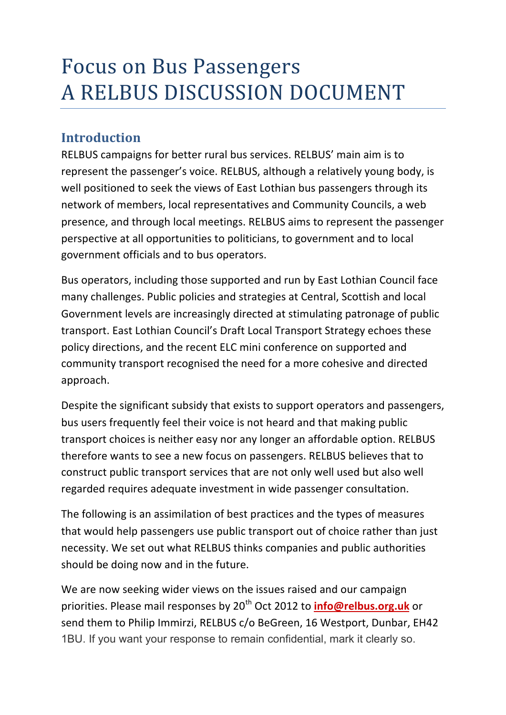# **Focus on Bus Passengers** A RELBUS DISCUSSION DOCUMENT

## **Introduction**

RELBUS campaigns for better rural bus services. RELBUS' main aim is to represent the passenger's voice. RELBUS, although a relatively young body, is well positioned to seek the views of East Lothian bus passengers through its network of members, local representatives and Community Councils, a web presence, and through local meetings. RELBUS aims to represent the passenger perspective at all opportunities to politicians, to government and to local government officials and to bus operators.

Bus operators, including those supported and run by East Lothian Council face many challenges. Public policies and strategies at Central, Scottish and local Government levels are increasingly directed at stimulating patronage of public transport. East Lothian Council's Draft Local Transport Strategy echoes these policy directions, and the recent ELC mini conference on supported and community transport recognised the need for a more cohesive and directed approach.

Despite the significant subsidy that exists to support operators and passengers, bus users frequently feel their voice is not heard and that making public transport choices is neither easy nor any longer an affordable option. RELBUS therefore wants to see a new focus on passengers. RELBUS believes that to construct public transport services that are not only well used but also well regarded requires adequate investment in wide passenger consultation.

The following is an assimilation of best practices and the types of measures that would help passengers use public transport out of choice rather than just necessity. We set out what RELBUS thinks companies and public authorities should be doing now and in the future.

We are now seeking wider views on the issues raised and our campaign priorities. Please mail responses by 20<sup>th</sup> Oct 2012 to *info@relbus.org.uk* or send them to Philip Immirzi, RELBUS c/o BeGreen, 16 Westport, Dunbar, EH42 1BU. If you want your response to remain confidential, mark it clearly so.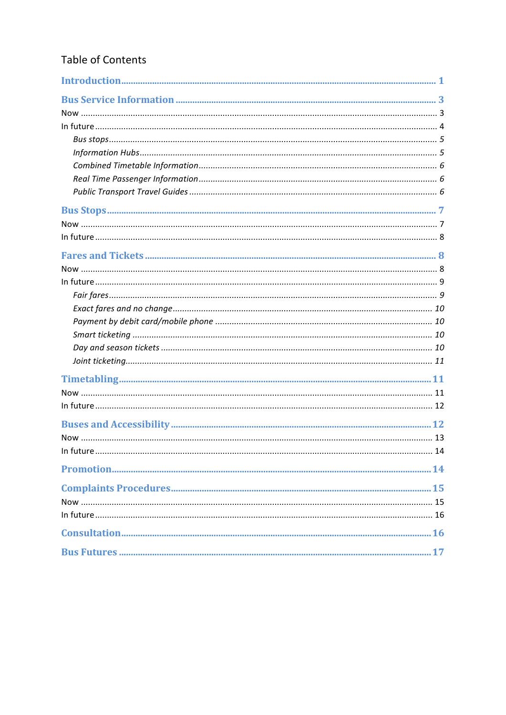### Table of Contents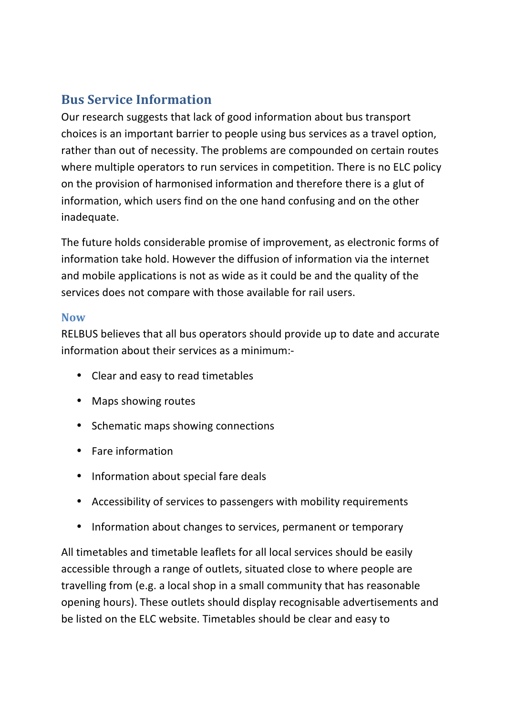# **Bus Service Information**

Our research suggests that lack of good information about bus transport choices is an important barrier to people using bus services as a travel option, rather than out of necessity. The problems are compounded on certain routes where multiple operators to run services in competition. There is no ELC policy on the provision of harmonised information and therefore there is a glut of information, which users find on the one hand confusing and on the other inadequate.

The future holds considerable promise of improvement, as electronic forms of information take hold. However the diffusion of information via the internet and mobile applications is not as wide as it could be and the quality of the services does not compare with those available for rail users.

#### **Now**

RELBUS believes that all bus operators should provide up to date and accurate information about their services as a minimum:-

- Clear and easy to read timetables
- Maps showing routes
- Schematic maps showing connections
- Fare information
- Information about special fare deals
- Accessibility of services to passengers with mobility requirements
- Information about changes to services, permanent or temporary

All timetables and timetable leaflets for all local services should be easily accessible through a range of outlets, situated close to where people are travelling from (e.g. a local shop in a small community that has reasonable opening hours). These outlets should display recognisable advertisements and be listed on the ELC website. Timetables should be clear and easy to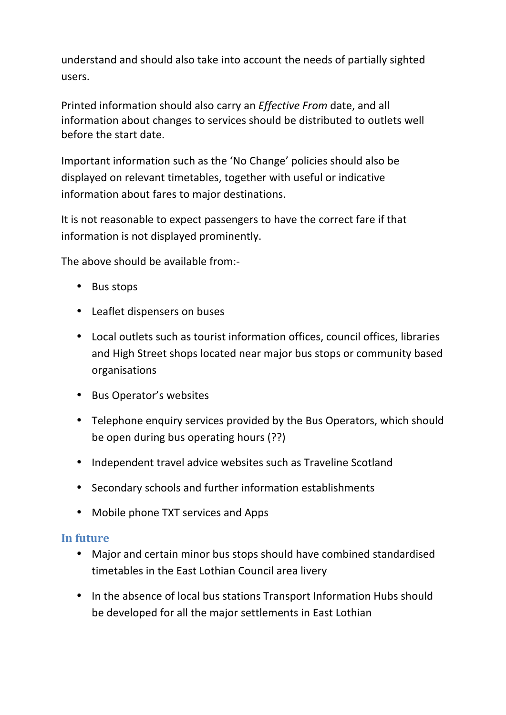understand and should also take into account the needs of partially sighted users.

Printed information should also carry an *Effective From* date, and all information about changes to services should be distributed to outlets well before the start date.

Important information such as the 'No Change' policies should also be displayed on relevant timetables, together with useful or indicative information about fares to major destinations.

It is not reasonable to expect passengers to have the correct fare if that information is not displayed prominently.

The above should be available from:-

- Bus stops
- Leaflet dispensers on buses
- Local outlets such as tourist information offices, council offices, libraries and High Street shops located near major bus stops or community based organisations
- Bus Operator's websites
- Telephone enquiry services provided by the Bus Operators, which should be open during bus operating hours (??)
- Independent travel advice websites such as Traveline Scotland
- Secondary schools and further information establishments
- Mobile phone TXT services and Apps

#### In future

- Major and certain minor bus stops should have combined standardised timetables in the East Lothian Council area livery
- In the absence of local bus stations Transport Information Hubs should be developed for all the major settlements in East Lothian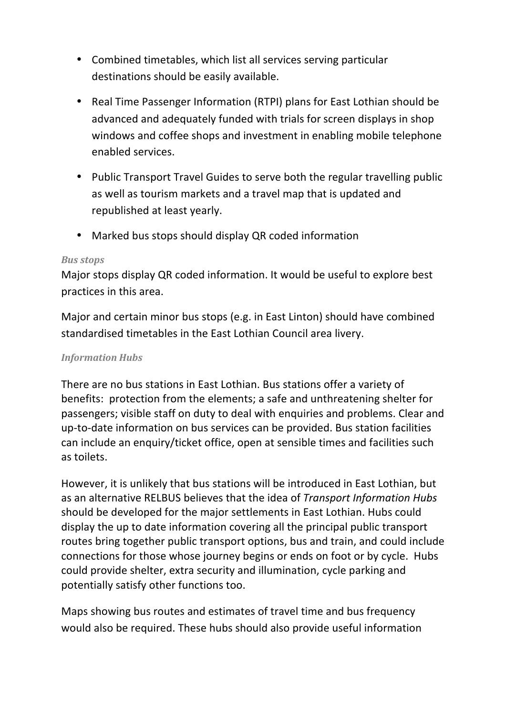- Combined timetables, which list all services serving particular destinations should be easily available.
- $\bullet$ Real Time Passenger Information (RTPI) plans for East Lothian should be advanced and adequately funded with trials for screen displays in shop windows and coffee shops and investment in enabling mobile telephone enabled services.
- Public Transport Travel Guides to serve both the regular travelling public as well as tourism markets and a travel map that is updated and republished at least yearly.
- Marked bus stops should display QR coded information

#### **Bus stops**

Major stops display QR coded information. It would be useful to explore best practices in this area.

Major and certain minor bus stops (e.g. in East Linton) should have combined standardised timetables in the East Lothian Council area livery.

#### **Information Hubs**

There are no bus stations in East Lothian. Bus stations offer a variety of benefits: protection from the elements; a safe and unthreatening shelter for passengers; visible staff on duty to deal with enguiries and problems. Clear and up-to-date information on bus services can be provided. Bus station facilities can include an enguiry/ticket office, open at sensible times and facilities such as toilets.

However, it is unlikely that bus stations will be introduced in East Lothian, but as an alternative RELBUS believes that the idea of Transport Information Hubs should be developed for the major settlements in East Lothian. Hubs could display the up to date information covering all the principal public transport routes bring together public transport options, bus and train, and could include connections for those whose journey begins or ends on foot or by cycle. Hubs could provide shelter, extra security and illumination, cycle parking and potentially satisfy other functions too.

Maps showing bus routes and estimates of travel time and bus frequency would also be required. These hubs should also provide useful information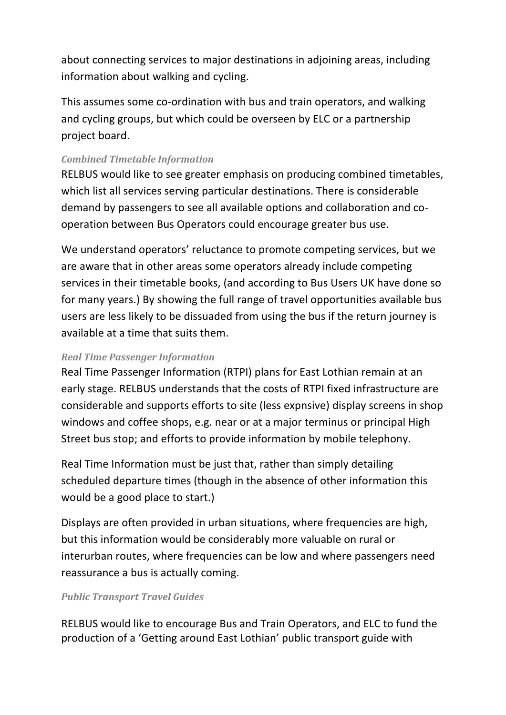about connecting services to major destinations in adjoining areas, including information about walking and cycling.

This assumes some co-ordination with bus and train operators, and walking and cycling groups, but which could be overseen by ELC or a partnership project board.

#### **Combined Timetable Information**

RELBUS would like to see greater emphasis on producing combined timetables, which list all services serving particular destinations. There is considerable demand by passengers to see all available options and collaboration and cooperation between Bus Operators could encourage greater bus use.

We understand operators' reluctance to promote competing services, but we are aware that in other areas some operators already include competing services in their timetable books, (and according to Bus Users UK have done so for many years.) By showing the full range of travel opportunities available bus users are less likely to be dissuaded from using the bus if the return journey is available at a time that suits them.

#### **Real Time Passenger Information**

Real Time Passenger Information (RTPI) plans for East Lothian remain at an early stage. RELBUS understands that the costs of RTPI fixed infrastructure are considerable and supports efforts to site (less expnsive) display screens in shop windows and coffee shops, e.g. near or at a major terminus or principal High Street bus stop; and efforts to provide information by mobile telephony.

Real Time Information must be just that, rather than simply detailing scheduled departure times (though in the absence of other information this would be a good place to start.)

Displays are often provided in urban situations, where frequencies are high, but this information would be considerably more valuable on rural or interurban routes, where frequencies can be low and where passengers need reassurance a bus is actually coming.

#### **Public Transport Travel Guides**

RELBUS would like to encourage Bus and Train Operators, and ELC to fund the production of a 'Getting around East Lothian' public transport guide with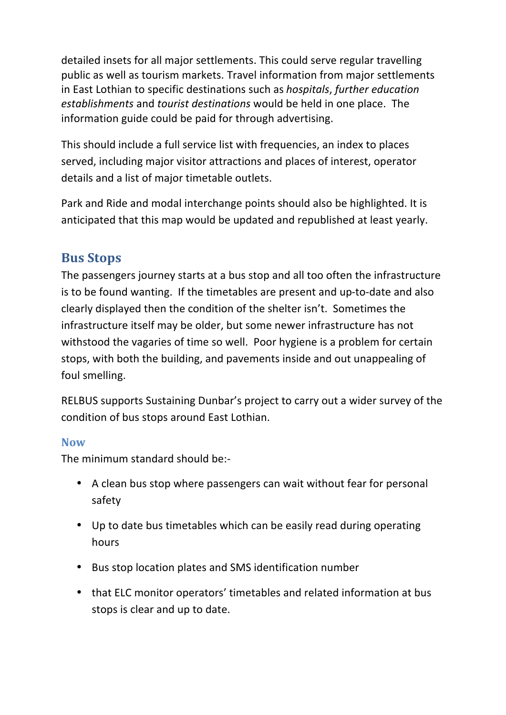detailed insets for all major settlements. This could serve regular travelling public as well as tourism markets. Travel information from major settlements in East Lothian to specific destinations such as *hospitals, further education* establishments and tourist destinations would be held in one place. The information guide could be paid for through advertising.

This should include a full service list with frequencies, an index to places served, including major visitor attractions and places of interest, operator details and a list of major timetable outlets.

Park and Ride and modal interchange points should also be highlighted. It is anticipated that this map would be updated and republished at least yearly.

# **Bus Stops**

The passengers journey starts at a bus stop and all too often the infrastructure is to be found wanting. If the timetables are present and up-to-date and also clearly displayed then the condition of the shelter isn't. Sometimes the infrastructure itself may be older, but some newer infrastructure has not withstood the vagaries of time so well. Poor hygiene is a problem for certain stops, with both the building, and pavements inside and out unappealing of foul smelling.

RELBUS supports Sustaining Dunbar's project to carry out a wider survey of the condition of bus stops around East Lothian.

### **Now**

The minimum standard should be:-

- A clean bus stop where passengers can wait without fear for personal safety
- Up to date bus timetables which can be easily read during operating hours
- Bus stop location plates and SMS identification number
- that ELC monitor operators' timetables and related information at bus stops is clear and up to date.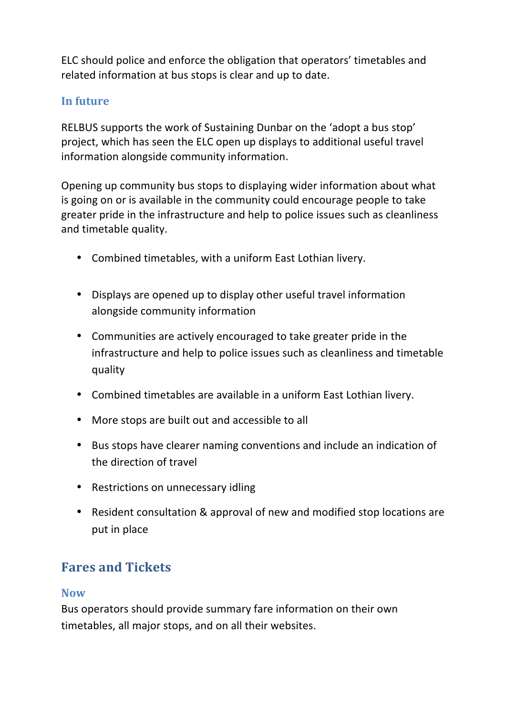ELC should police and enforce the obligation that operators' timetables and related information at bus stops is clear and up to date.

### In future

RELBUS supports the work of Sustaining Dunbar on the 'adopt a bus stop' project, which has seen the ELC open up displays to additional useful travel information alongside community information.

Opening up community bus stops to displaying wider information about what is going on or is available in the community could encourage people to take greater pride in the infrastructure and help to police issues such as cleanliness and timetable quality.

- Combined timetables, with a uniform East Lothian livery.
- Displays are opened up to display other useful travel information alongside community information
- Communities are actively encouraged to take greater pride in the infrastructure and help to police issues such as cleanliness and timetable quality
- Combined timetables are available in a uniform East Lothian livery.
- More stops are built out and accessible to all
- Bus stops have clearer naming conventions and include an indication of the direction of travel
- Restrictions on unnecessary idling
- Resident consultation & approval of new and modified stop locations are put in place

# **Fares and Tickets**

#### **Now**

Bus operators should provide summary fare information on their own timetables, all major stops, and on all their websites.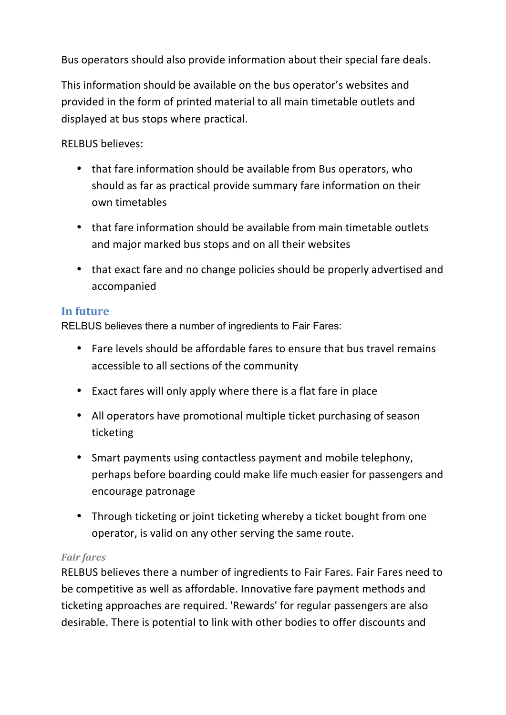Bus operators should also provide information about their special fare deals.

This information should be available on the bus operator's websites and provided in the form of printed material to all main timetable outlets and displayed at bus stops where practical.

**RELBUS believes:** 

- that fare information should be available from Bus operators, who should as far as practical provide summary fare information on their own timetables
- that fare information should be available from main timetable outlets and major marked bus stops and on all their websites
- that exact fare and no change policies should be properly advertised and accompanied

### In future

RELBUS believes there a number of ingredients to Fair Fares:

- Fare levels should be affordable fares to ensure that bus travel remains accessible to all sections of the community
- Exact fares will only apply where there is a flat fare in place
- All operators have promotional multiple ticket purchasing of season ticketing
- Smart payments using contactless payment and mobile telephony, perhaps before boarding could make life much easier for passengers and encourage patronage
- Through ticketing or joint ticketing whereby a ticket bought from one operator, is valid on any other serving the same route.

### **Fair fares**

RELBUS believes there a number of ingredients to Fair Fares. Fair Fares need to be competitive as well as affordable. Innovative fare payment methods and ticketing approaches are required. 'Rewards' for regular passengers are also desirable. There is potential to link with other bodies to offer discounts and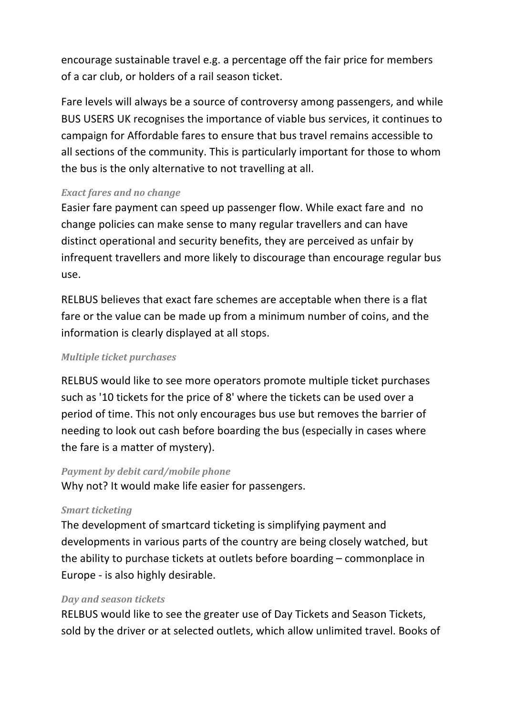encourage sustainable travel e.g. a percentage off the fair price for members of a car club, or holders of a rail season ticket.

Fare levels will always be a source of controversy among passengers, and while BUS USERS UK recognises the importance of viable bus services, it continues to campaign for Affordable fares to ensure that bus travel remains accessible to all sections of the community. This is particularly important for those to whom the bus is the only alternative to not travelling at all.

#### **Exact fares and no change**

Easier fare payment can speed up passenger flow. While exact fare and no change policies can make sense to many regular travellers and can have distinct operational and security benefits, they are perceived as unfair by infrequent travellers and more likely to discourage than encourage regular bus use.

RELBUS believes that exact fare schemes are acceptable when there is a flat fare or the value can be made up from a minimum number of coins, and the information is clearly displayed at all stops.

#### **Multiple ticket purchases**

RELBUS would like to see more operators promote multiple ticket purchases such as '10 tickets for the price of 8' where the tickets can be used over a period of time. This not only encourages bus use but removes the barrier of needing to look out cash before boarding the bus (especially in cases where the fare is a matter of mystery).

#### Payment by debit card/mobile phone

Why not? It would make life easier for passengers.

#### **Smart ticketing**

The development of smartcard ticketing is simplifying payment and developments in various parts of the country are being closely watched, but the ability to purchase tickets at outlets before boarding – commonplace in Europe - is also highly desirable.

#### Day and season tickets

RELBUS would like to see the greater use of Day Tickets and Season Tickets, sold by the driver or at selected outlets, which allow unlimited travel. Books of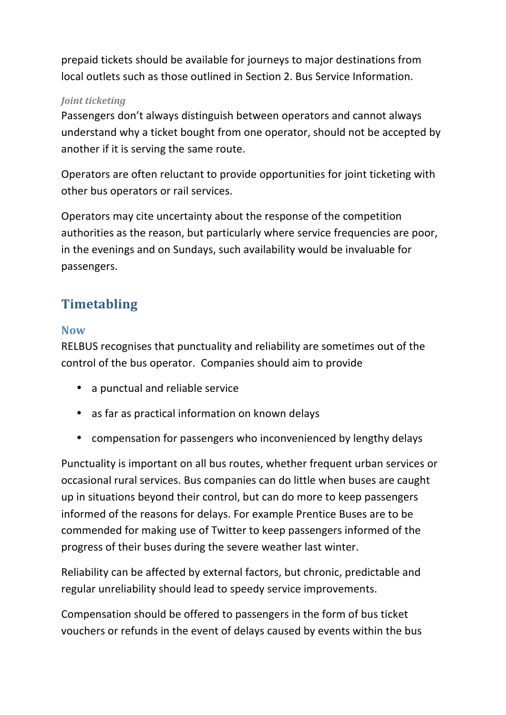prepaid tickets should be available for journeys to major destinations from local outlets such as those outlined in Section 2. Bus Service Information.

#### Joint ticketing

Passengers don't always distinguish between operators and cannot always understand why a ticket bought from one operator, should not be accepted by another if it is serving the same route.

Operators are often reluctant to provide opportunities for joint ticketing with other bus operators or rail services.

Operators may cite uncertainty about the response of the competition authorities as the reason, but particularly where service frequencies are poor, in the evenings and on Sundays, such availability would be invaluable for passengers.

# **Timetabling**

#### **Now**

RELBUS recognises that punctuality and reliability are sometimes out of the control of the bus operator. Companies should aim to provide

- a punctual and reliable service
- as far as practical information on known delays
- compensation for passengers who inconvenienced by lengthy delays

Punctuality is important on all bus routes, whether frequent urban services or occasional rural services. Bus companies can do little when buses are caught up in situations beyond their control, but can do more to keep passengers informed of the reasons for delays. For example Prentice Buses are to be commended for making use of Twitter to keep passengers informed of the progress of their buses during the severe weather last winter.

Reliability can be affected by external factors, but chronic, predictable and regular unreliability should lead to speedy service improvements.

Compensation should be offered to passengers in the form of bus ticket vouchers or refunds in the event of delays caused by events within the bus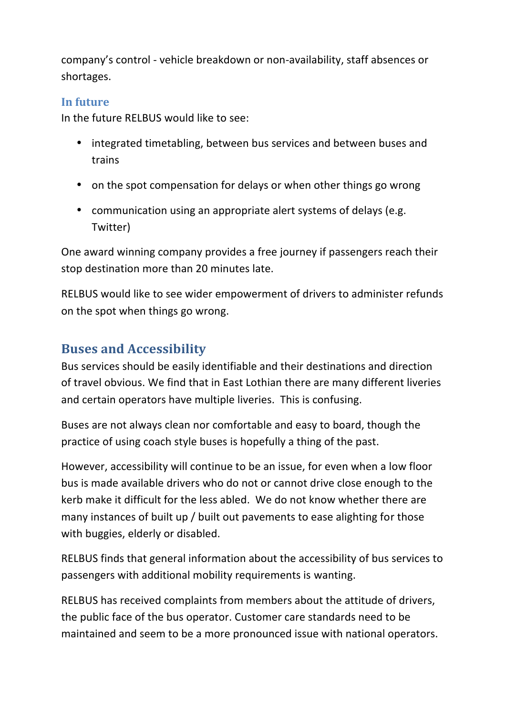company's control - vehicle breakdown or non-availability, staff absences or shortages.

### In future

In the future RELBUS would like to see:

- integrated timetabling, between bus services and between buses and trains
- on the spot compensation for delays or when other things go wrong
- communication using an appropriate alert systems of delays (e.g. Twitter)

One award winning company provides a free journey if passengers reach their stop destination more than 20 minutes late.

RELBUS would like to see wider empowerment of drivers to administer refunds on the spot when things go wrong.

# **Buses and Accessibility**

Bus services should be easily identifiable and their destinations and direction of travel obvious. We find that in East Lothian there are many different liveries and certain operators have multiple liveries. This is confusing.

Buses are not always clean nor comfortable and easy to board, though the practice of using coach style buses is hopefully a thing of the past.

However, accessibility will continue to be an issue, for even when a low floor bus is made available drivers who do not or cannot drive close enough to the kerb make it difficult for the less abled. We do not know whether there are many instances of built up / built out pavements to ease alighting for those with buggies, elderly or disabled.

RELBUS finds that general information about the accessibility of bus services to passengers with additional mobility requirements is wanting.

RELBUS has received complaints from members about the attitude of drivers, the public face of the bus operator. Customer care standards need to be maintained and seem to be a more pronounced issue with national operators.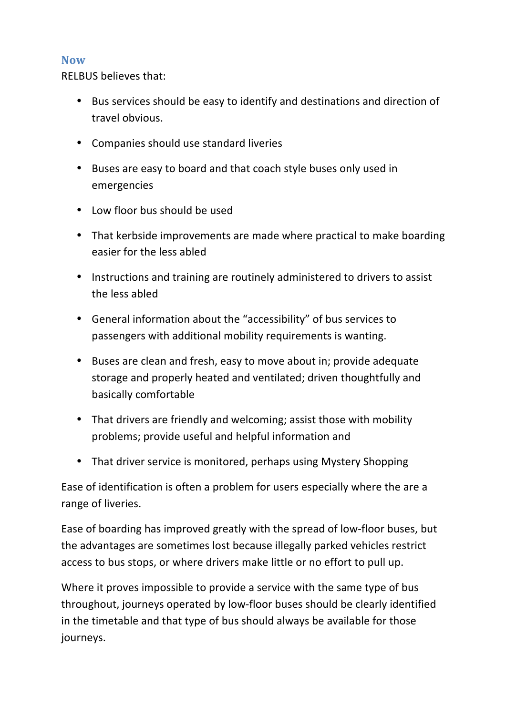#### **Now**

**RELBUS believes that:** 

- Bus services should be easy to identify and destinations and direction of travel obvious.
- Companies should use standard liveries
- Buses are easy to board and that coach style buses only used in emergencies
- Low floor bus should be used
- That kerbside improvements are made where practical to make boarding easier for the less abled
- Instructions and training are routinely administered to drivers to assist the less abled
- General information about the "accessibility" of bus services to passengers with additional mobility requirements is wanting.
- Buses are clean and fresh, easy to move about in; provide adequate storage and properly heated and ventilated; driven thoughtfully and basically comfortable
- That drivers are friendly and welcoming; assist those with mobility problems; provide useful and helpful information and
- That driver service is monitored, perhaps using Mystery Shopping

Ease of identification is often a problem for users especially where the are a range of liveries.

Ease of boarding has improved greatly with the spread of low-floor buses, but the advantages are sometimes lost because illegally parked vehicles restrict access to bus stops, or where drivers make little or no effort to pull up.

Where it proves impossible to provide a service with the same type of bus throughout, journeys operated by low-floor buses should be clearly identified in the timetable and that type of bus should always be available for those journeys.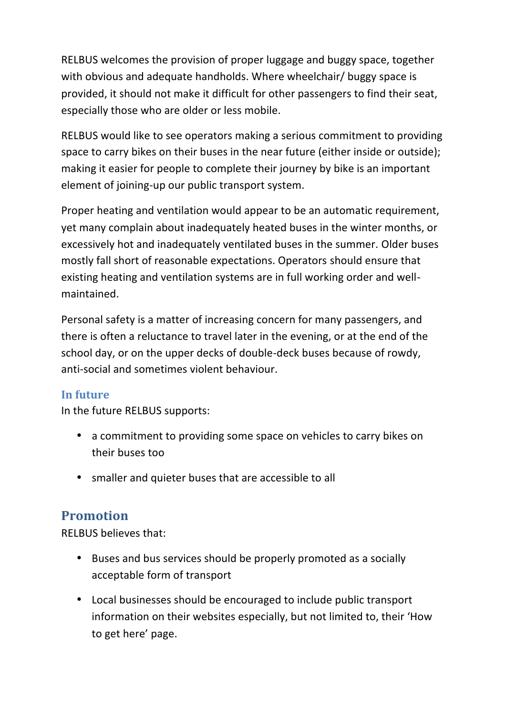RELBUS welcomes the provision of proper luggage and buggy space, together with obvious and adequate handholds. Where wheelchair/ buggy space is provided, it should not make it difficult for other passengers to find their seat, especially those who are older or less mobile.

RELBUS would like to see operators making a serious commitment to providing space to carry bikes on their buses in the near future (either inside or outside); making it easier for people to complete their journey by bike is an important element of joining-up our public transport system.

Proper heating and ventilation would appear to be an automatic requirement, yet many complain about inadequately heated buses in the winter months, or excessively hot and inadequately ventilated buses in the summer. Older buses mostly fall short of reasonable expectations. Operators should ensure that existing heating and ventilation systems are in full working order and wellmaintained.

Personal safety is a matter of increasing concern for many passengers, and there is often a reluctance to travel later in the evening, or at the end of the school day, or on the upper decks of double-deck buses because of rowdy, anti-social and sometimes violent behaviour.

### In future

In the future RELBUS supports:

- a commitment to providing some space on vehicles to carry bikes on their buses too
- smaller and quieter buses that are accessible to all

# **Promotion**

**RELBUS believes that:** 

- Buses and bus services should be properly promoted as a socially acceptable form of transport
- Local businesses should be encouraged to include public transport information on their websites especially, but not limited to, their 'How to get here' page.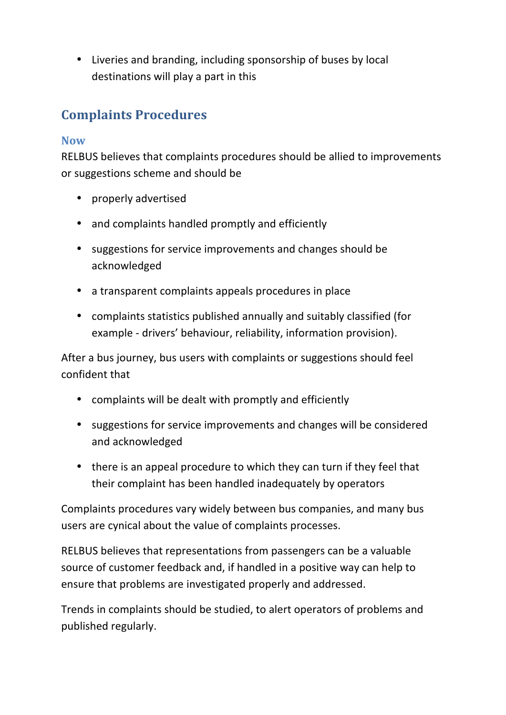• Liveries and branding, including sponsorship of buses by local destinations will play a part in this

# **Complaints Procedures**

### **Now**

RELBUS believes that complaints procedures should be allied to improvements or suggestions scheme and should be

- properly advertised
- and complaints handled promptly and efficiently
- suggestions for service improvements and changes should be acknowledged
- a transparent complaints appeals procedures in place
- complaints statistics published annually and suitably classified (for example - drivers' behaviour, reliability, information provision).

After a bus journey, bus users with complaints or suggestions should feel confident that

- complaints will be dealt with promptly and efficiently
- suggestions for service improvements and changes will be considered and acknowledged
- there is an appeal procedure to which they can turn if they feel that their complaint has been handled inadequately by operators

Complaints procedures vary widely between bus companies, and many bus users are cynical about the value of complaints processes.

RELBUS believes that representations from passengers can be a valuable source of customer feedback and, if handled in a positive way can help to ensure that problems are investigated properly and addressed.

Trends in complaints should be studied, to alert operators of problems and published regularly.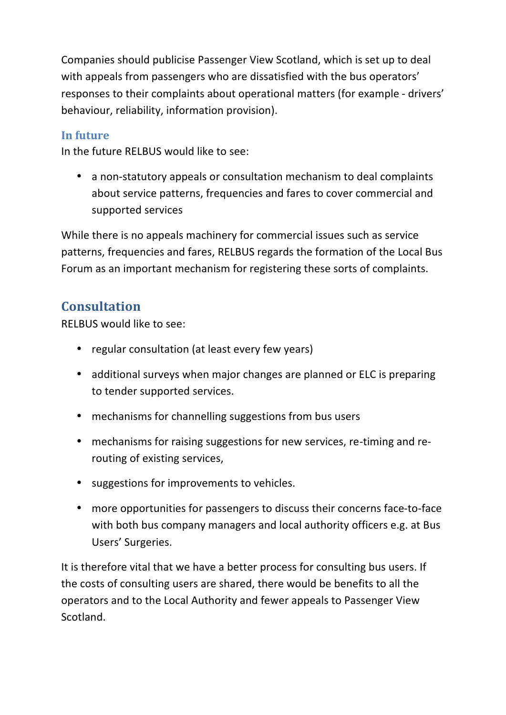Companies should publicise Passenger View Scotland, which is set up to deal with appeals from passengers who are dissatisfied with the bus operators' responses to their complaints about operational matters (for example - drivers' behaviour, reliability, information provision).

### In future

In the future RELBUS would like to see:

• a non-statutory appeals or consultation mechanism to deal complaints about service patterns, frequencies and fares to cover commercial and supported services

While there is no appeals machinery for commercial issues such as service patterns, frequencies and fares, RELBUS regards the formation of the Local Bus Forum as an important mechanism for registering these sorts of complaints.

# **Consultation**

RELBUS would like to see:

- regular consultation (at least every few years)
- additional surveys when major changes are planned or ELC is preparing to tender supported services.
- mechanisms for channelling suggestions from bus users
- mechanisms for raising suggestions for new services, re-timing and rerouting of existing services,
- suggestions for improvements to vehicles.
- more opportunities for passengers to discuss their concerns face-to-face with both bus company managers and local authority officers e.g. at Bus Users' Surgeries.

It is therefore vital that we have a better process for consulting bus users. If the costs of consulting users are shared, there would be benefits to all the operators and to the Local Authority and fewer appeals to Passenger View Scotland.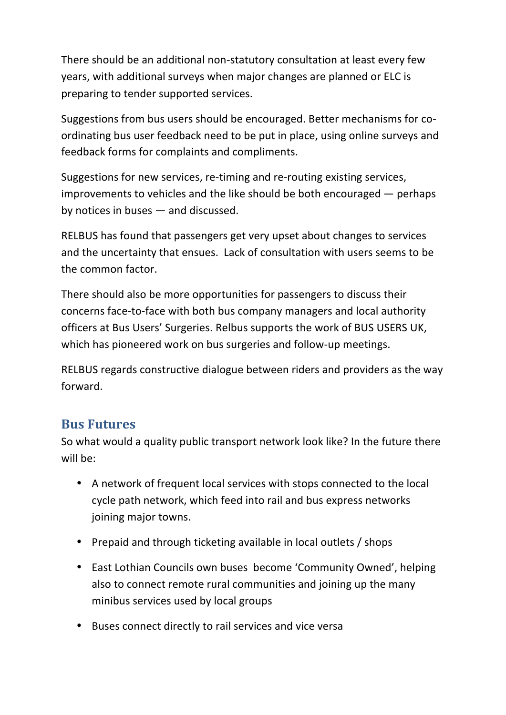There should be an additional non-statutory consultation at least every few years, with additional surveys when major changes are planned or ELC is preparing to tender supported services.

Suggestions from bus users should be encouraged. Better mechanisms for coordinating bus user feedback need to be put in place, using online surveys and feedback forms for complaints and compliments.

Suggestions for new services, re-timing and re-routing existing services, improvements to vehicles and the like should be both encouraged  $-$  perhaps by notices in buses  $-$  and discussed.

RELBUS has found that passengers get very upset about changes to services and the uncertainty that ensues. Lack of consultation with users seems to be the common factor.

There should also be more opportunities for passengers to discuss their concerns face-to-face with both bus company managers and local authority officers at Bus Users' Surgeries. Relbus supports the work of BUS USERS UK, which has pioneered work on bus surgeries and follow-up meetings.

RELBUS regards constructive dialogue between riders and providers as the way forward.

## **Bus Futures**

So what would a quality public transport network look like? In the future there will be:

- A network of frequent local services with stops connected to the local cycle path network, which feed into rail and bus express networks joining major towns.
- Prepaid and through ticketing available in local outlets / shops
- East Lothian Councils own buses become 'Community Owned', helping also to connect remote rural communities and joining up the many minibus services used by local groups
- Buses connect directly to rail services and vice versa